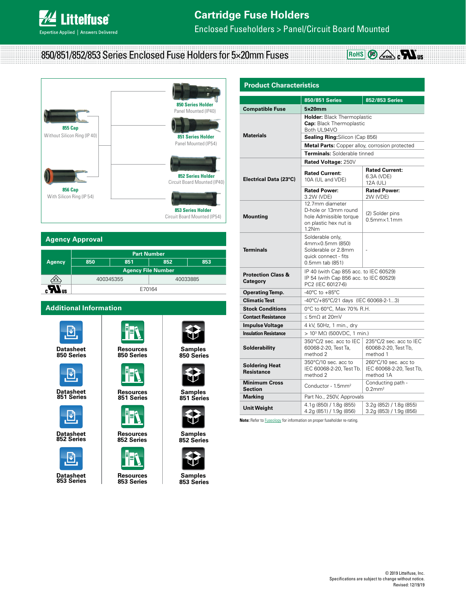Enclosed Fuseholders > Panel/Circuit Board Mounted

850/851/852/853 Series Enclosed Fuse Holders for 5×20mm Fuses



# **Agency Approval**

| <b>Agency</b>  | <b>Part Number</b>        |     |          |     |  |
|----------------|---------------------------|-----|----------|-----|--|
|                | 850                       | 851 | 852      | 853 |  |
|                | <b>Agency File Number</b> |     |          |     |  |
| OYE)           | 400345355                 |     | 40033885 |     |  |
| ľ<br><b>US</b> | E70164                    |     |          |     |  |

Ŧ

# **Additional Information**











**Datasheet [Resources](http://www.littelfuse.com/products/fuse-blocks-fuseholders-and-fuse-accessories/bodies-caps-covers-and-terminals/851.aspx#TechnicalResources) Resources [Samples](http://www.littelfuse.com/products/fuse-blocks-fuseholders-and-fuse-accessories/bodies-caps-covers-and-terminals/851.aspx#ElectricalCharacteristics)**<br>851 Series 851 Series 851 Series **851 Series 851 Series 851 Series**





**Datasheet [Resources](http://www.littelfuse.com/products/fuse-blocks-fuseholders-and-fuse-accessories/bodies-caps-covers-and-terminals/853.aspx#TechnicalResources) Resources [Samples](http://www.littelfuse.com/products/fuse-blocks-fuseholders-and-fuse-accessories/bodies-caps-covers-and-terminals/853.aspx#ElectricalCharacteristics)**<br>853 Series 853 Series 853 Series **853 Series 853 Series 853 Series**

**Datasheet [Resources](http://www.littelfuse.com/products/fuse-blocks-fuseholders-and-fuse-accessories/bodies-caps-covers-and-terminals/850.aspx#TechnicalResources) Resources [Samples](http://www.littelfuse.com/products/fuse-blocks-fuseholders-and-fuse-accessories/bodies-caps-covers-and-terminals/850.aspx#ElectricalCharacteristics)**<br>850 Series **850 Series 850 Series [850 Series](https://secure.littelfuse.com/~/media/electronics/datasheets/fuse_holders/littelfuse_fuse_holder_850_851_852_853_datasheet.pdf.pdf) 850 Series 850 Series**

V





**Datasheet [Resources](http://www.littelfuse.com/products/fuse-blocks-fuseholders-and-fuse-accessories/bodies-caps-covers-and-terminals/852.aspx#TechnicalResources) [Samples](http://www.littelfuse.com/products/fuse-blocks-fuseholders-and-fuse-accessories/bodies-caps-covers-and-terminals/852.aspx#ElectricalCharacteristics) 852 Series 852 Series 852 Series**



| <b>Product Characteristics</b>              |                                                                                                       |                                                               |  |  |  |
|---------------------------------------------|-------------------------------------------------------------------------------------------------------|---------------------------------------------------------------|--|--|--|
|                                             | 850/851 Series                                                                                        | 852/853 Series                                                |  |  |  |
| <b>Compatible Fuse</b>                      | 5x20mm                                                                                                |                                                               |  |  |  |
|                                             | <b>Holder: Black Thermoplastic</b><br><b>Cap:</b> Black Thermoplastic<br>Both UL94VO                  |                                                               |  |  |  |
| <b>Materials</b>                            | Sealing Ring: Silicon (Cap 856)                                                                       |                                                               |  |  |  |
|                                             | Metal Parts: Copper alloy, corrosion protected                                                        |                                                               |  |  |  |
|                                             | Terminals: Solderable tinned                                                                          |                                                               |  |  |  |
|                                             | Rated Voltage: 250V                                                                                   |                                                               |  |  |  |
| Electrical Data (23°C)                      | <b>Rated Current:</b><br>10A (UL and VDE)                                                             | <b>Rated Current:</b><br>6.3A (VDE)<br>12A (UL)               |  |  |  |
|                                             | <b>Rated Power:</b><br>3.2W (VDE)                                                                     | <b>Rated Power:</b><br>2W (VDE)                               |  |  |  |
| <b>Mounting</b>                             | 12.7mm diameter<br>D-hole or 13mm round<br>hole Admissible torque<br>on plastic hex nut is<br>1.2Nm   | (2) Solder pins<br>$0.5$ mm $\times$ 1.1 mm                   |  |  |  |
| <b>Terminals</b>                            | Solderable only,<br>4mm×0.5mm (850)<br>Solderable or 2.8mm<br>quick connect - fits<br>0.5mm tab (851) | ÷                                                             |  |  |  |
| <b>Protection Class &amp;</b><br>Category   | IP 40 (with Cap 855 acc. to IEC 60529)<br>IP 54 (with Cap 856 acc. to IEC 60529)<br>PC2 (IEC 60127-6) |                                                               |  |  |  |
| <b>Operating Temp.</b>                      | -40 $^{\circ}$ C to +85 $^{\circ}$ C                                                                  |                                                               |  |  |  |
| <b>Climatic Test</b>                        | $-40^{\circ}$ C/+85 $^{\circ}$ C/21 days (IEC 60068-2-13)                                             |                                                               |  |  |  |
| <b>Stock Conditions</b>                     | 0°C to 60°C, Max 70% R.H.                                                                             |                                                               |  |  |  |
| <b>Contact Resistance</b>                   | $< 5mO$ at 20mV                                                                                       |                                                               |  |  |  |
| <b>Impulse Voltage</b>                      | 4 kV, 50Hz, 1 min., dry                                                                               |                                                               |  |  |  |
| <b>Insulation Resistance</b>                | $> 103$ MΩ (500VDC, 1 min.)                                                                           |                                                               |  |  |  |
| Solderability                               | 350°C/2 sec. acc to IEC<br>60068-2-20, Test Ta,<br>method 2                                           | 235°C/2 sec. acc to IEC<br>60068-2-20, Test Tb,<br>method 1   |  |  |  |
| <b>Soldering Heat</b><br><b>Resistance</b>  | 350°C/10 sec. acc to<br>IEC 60068-2-20, Test Tb.<br>method 2                                          | 260°C/10 sec. acc to<br>IEC 60068-2-20, Test Tb,<br>method 1A |  |  |  |
| <b>Minimum Cross</b><br>Section             | Conductor - 1.5mm <sup>2</sup>                                                                        | Conducting path -<br>$0.2$ mm <sup>2</sup>                    |  |  |  |
| <b>Marking</b><br>Part No., 250V, Approvals |                                                                                                       |                                                               |  |  |  |
| Unit Weight                                 | 4.1g (850) / 1.8g (855)<br>4.2g (851) / 1.9g (856)                                                    | 3.2g (852) / 1.8g (855)<br>3.2g (853) / 1.9g (856)            |  |  |  |

**ROHS**  $\omega$ **b**  $\omega$ **bcH** 

**Note:** Refer to **Fuseology** for information on proper fuseholder re-rating.